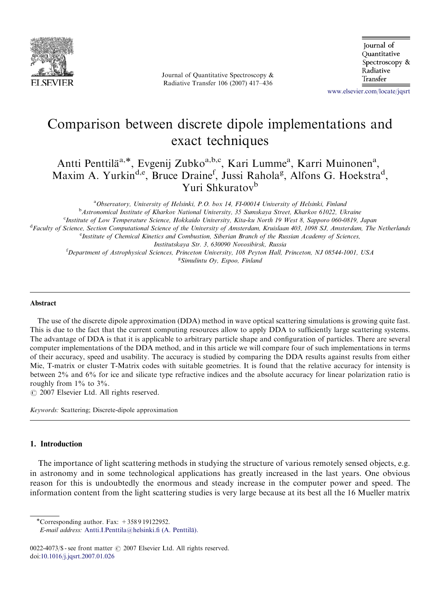

Journal of Quantitative Spectroscopy & Radiative Transfer 106 (2007) 417–436

**Journal** of Ouantitative Spectroscopy & Radiative Transfer

<www.elsevier.com/locate/jqsrt>

# Comparison between discrete dipole implementations and exact techniques

Antti Penttilä<sup>a,\*</sup>, Evgenij Zubko<sup>a,b,c</sup>, Kari Lumme<sup>a</sup>, Karri Muinonen<sup>a</sup>, Maxim A. Yurkin<sup>d,e</sup>, Bruce Draine<sup>f</sup>, Jussi Rahola<sup>g</sup>, Alfons G. Hoekstra<sup>d</sup>, Yuri Shkuratov<sup>b</sup>

<sup>a</sup>Observatory, University of Helsinki, P.O. box 14, FI-00014 University of Helsinki, Finland <sup>b</sup> Astronomical Institute of Kharkov National University, 35 Sumskaya Street, Kharkov 61022, Ukraine c Institute of Low Temperature Science, Hokkaido University, Kita-ku North 19 West 8, Sapporo 060-0819, Japan <sup>d</sup> Faculty of Science, Section Computational Science of the University of Amsterdam, Kruislaan 403, 1098 SJ, Amsterdam, The Netherlands <sup>e</sup>Institute of Chemical Kinetics and Combustion, Siberian Branch of the Russian Academy of Sciences, Institutskaya Str. 3, 630090 Novosibirsk, Russia f Department of Astrophysical Sciences, Princeton University, 108 Peyton Hall, Princeton, NJ 08544-1001, USA

<sup>g</sup> Simulintu Oy, Espoo, Finland

#### Abstract

The use of the discrete dipole approximation (DDA) method in wave optical scattering simulations is growing quite fast. This is due to the fact that the current computing resources allow to apply DDA to sufficiently large scattering systems. The advantage of DDA is that it is applicable to arbitrary particle shape and configuration of particles. There are several computer implementations of the DDA method, and in this article we will compare four of such implementations in terms of their accuracy, speed and usability. The accuracy is studied by comparing the DDA results against results from either Mie, T-matrix or cluster T-Matrix codes with suitable geometries. It is found that the relative accuracy for intensity is between 2% and 6% for ice and silicate type refractive indices and the absolute accuracy for linear polarization ratio is roughly from  $1\%$  to  $3\%$ .

 $O$  2007 Elsevier Ltd. All rights reserved.

Keywords: Scattering; Discrete-dipole approximation

## 1. Introduction

The importance of light scattering methods in studying the structure of various remotely sensed objects, e.g. in astronomy and in some technological applications has greatly increased in the last years. One obvious reason for this is undoubtedly the enormous and steady increase in the computer power and speed. The information content from the light scattering studies is very large because at its best all the 16 Mueller matrix

-Corresponding author. Fax: +358 9 19122952.

E-mail address: Antti.I.Penttila@helsinki.fi (A. Penttilä).

<sup>0022-4073/\$ -</sup> see front matter  $\odot$  2007 Elsevier Ltd. All rights reserved. doi:[10.1016/j.jqsrt.2007.01.026](dx.doi.org/10.1016/j.jqsrt.2007.01.026)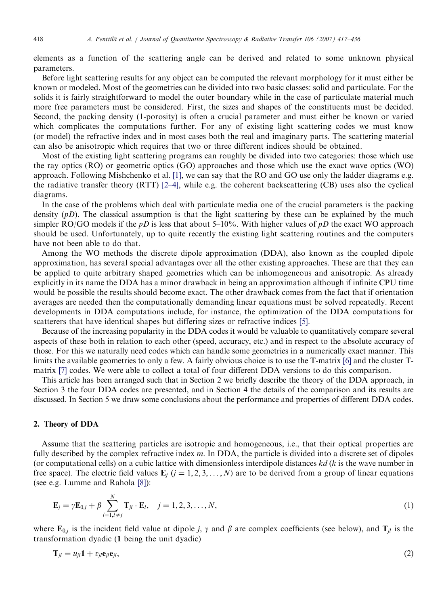elements as a function of the scattering angle can be derived and related to some unknown physical parameters.

Before light scattering results for any object can be computed the relevant morphology for it must either be known or modeled. Most of the geometries can be divided into two basic classes: solid and particulate. For the solids it is fairly straightforward to model the outer boundary while in the case of particulate material much more free parameters must be considered. First, the sizes and shapes of the constituents must be decided. Second, the packing density (1-porosity) is often a crucial parameter and must either be known or varied which complicates the computations further. For any of existing light scattering codes we must know (or model) the refractive index and in most cases both the real and imaginary parts. The scattering material can also be anisotropic which requires that two or three different indices should be obtained.

Most of the existing light scattering programs can roughly be divided into two categories: those which use the ray optics (RO) or geometric optics (GO) approaches and those which use the exact wave optics (WO) approach. Following Mishchenko et al. [\[1\]](#page-18-0), we can say that the RO and GO use only the ladder diagrams e.g. the radiative transfer theory (RTT) [\[2–4\]](#page-18-0), while e.g. the coherent backscattering (CB) uses also the cyclical diagrams.

In the case of the problems which deal with particulate media one of the crucial parameters is the packing density  $(pD)$ . The classical assumption is that the light scattering by these can be explained by the much simpler RO/GO models if the  $pD$  is less that about 5–10%. With higher values of  $pD$  the exact WO approach should be used. Unfortunately, up to quite recently the existing light scattering routines and the computers have not been able to do that.

Among the WO methods the discrete dipole approximation (DDA), also known as the coupled dipole approximation, has several special advantages over all the other existing approaches. These are that they can be applied to quite arbitrary shaped geometries which can be inhomogeneous and anisotropic. As already explicitly in its name the DDA has a minor drawback in being an approximation although if infinite CPU time would be possible the results should become exact. The other drawback comes from the fact that if orientation averages are needed then the computationally demanding linear equations must be solved repeatedly. Recent developments in DDA computations include, for instance, the optimization of the DDA computations for scatterers that have identical shapes but differing sizes or refractive indices [\[5\].](#page-18-0)

Because of the increasing popularity in the DDA codes it would be valuable to quantitatively compare several aspects of these both in relation to each other (speed, accuracy, etc.) and in respect to the absolute accuracy of those. For this we naturally need codes which can handle some geometries in a numerically exact manner. This limits the available geometries to only a few. A fairly obvious choice is to use the T-matrix [\[6\]](#page-18-0) and the cluster Tmatrix [\[7\]](#page-18-0) codes. We were able to collect a total of four different DDA versions to do this comparison.

This article has been arranged such that in Section 2 we briefly describe the theory of the DDA approach, in Section 3 the four DDA codes are presented, and in Section 4 the details of the comparison and its results are discussed. In Section 5 we draw some conclusions about the performance and properties of different DDA codes.

## 2. Theory of DDA

Assume that the scattering particles are isotropic and homogeneous, i.e., that their optical properties are fully described by the complex refractive index  $m$ . In DDA, the particle is divided into a discrete set of dipoles (or computational cells) on a cubic lattice with dimensionless interdipole distances  $kd$  ( $k$  is the wave number in free space). The electric field values  $\mathbf{E}_i$   $(j = 1, 2, 3, \dots, N)$  are to be derived from a group of linear equations (see e.g. Lumme and Rahola [\[8\]](#page-18-0)):

$$
\mathbf{E}_{j} = \gamma \mathbf{E}_{0,j} + \beta \sum_{l=1, l \neq j}^{N} \mathbf{T}_{jl} \cdot \mathbf{E}_{l}, \quad j = 1, 2, 3, ..., N,
$$
\n(1)

where  $\mathbf{E}_{0,j}$  is the incident field value at dipole j,  $\gamma$  and  $\beta$  are complex coefficients (see below), and  $\mathbf{T}_{jl}$  is the transformation dyadic (1 being the unit dyadic)

$$
\mathbf{T}_{jl} = u_{jl}\mathbf{1} + v_{jl}\mathbf{e}_{jl}\mathbf{e}_{jl},\tag{2}
$$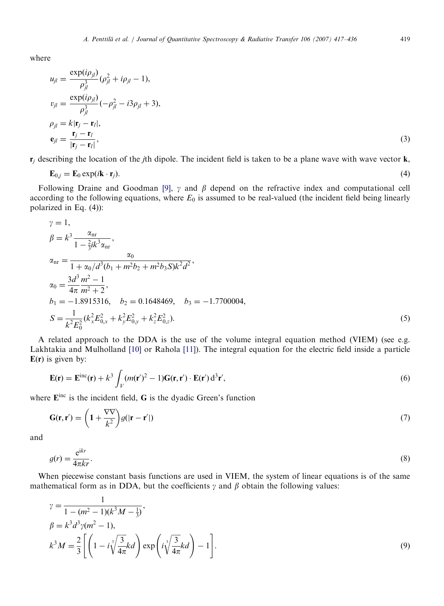where

$$
u_{jl} = \frac{\exp(i\rho_{jl})}{\rho_{jl}^3} (\rho_{jl}^2 + i\rho_{jl} - 1),
$$
  
\n
$$
v_{jl} = \frac{\exp(i\rho_{jl})}{\rho_{jl}^3} (-\rho_{jl}^2 - i3\rho_{jl} + 3),
$$
  
\n
$$
\rho_{jl} = k|\mathbf{r}_j - \mathbf{r}_l|,
$$
  
\n
$$
\mathbf{e}_{jl} = \frac{\mathbf{r}_j - \mathbf{r}_l}{|\mathbf{r}_j - \mathbf{r}_l|},
$$
  
\n(3)

 $\mathbf{r}_i$  describing the location of the *j*th dipole. The incident field is taken to be a plane wave with wave vector **k**,

$$
\mathbf{E}_{0,j} = \mathbf{E}_0 \exp(i\mathbf{k} \cdot \mathbf{r}_j). \tag{4}
$$

Following Draine and Goodman [\[9\],](#page-18-0)  $\gamma$  and  $\beta$  depend on the refractive index and computational cell according to the following equations, where  $E_0$  is assumed to be real-valued (the incident field being linearly polarized in Eq. (4)):

$$
\gamma = 1,
$$
  
\n
$$
\beta = k^3 \frac{\alpha_{\text{nr}}}{1 - \frac{2}{3}ik^3 \alpha_{\text{nr}}},
$$
  
\n
$$
\alpha_{\text{nr}} = \frac{\alpha_0}{1 + \alpha_0/d^3(b_1 + m^2b_2 + m^2b_3S)k^2d^2},
$$
  
\n
$$
\alpha_0 = \frac{3d^3 m^2 - 1}{4\pi m^2 + 2},
$$
  
\n
$$
b_1 = -1.8915316, \quad b_2 = 0.1648469, \quad b_3 = -1.7700004,
$$
  
\n
$$
S = \frac{1}{k^2 E_0^2} (k_x^2 E_{0,x}^2 + k_y^2 E_{0,y}^2 + k_z^2 E_{0,z}^2).
$$
  
\n(5)

A related approach to the DDA is the use of the volume integral equation method (VIEM) (see e.g. Lakhtakia and Mulholland [\[10\]](#page-18-0) or Rahola [\[11\]](#page-18-0)). The integral equation for the electric field inside a particle  $E(r)$  is given by:

$$
\mathbf{E}(\mathbf{r}) = \mathbf{E}^{\text{inc}}(\mathbf{r}) + k^3 \int_V (m(\mathbf{r}')^2 - 1) \mathbf{G}(\mathbf{r}, \mathbf{r}') \cdot \mathbf{E}(\mathbf{r}') d^3 \mathbf{r}',\tag{6}
$$

where  $E^{inc}$  is the incident field,  $G$  is the dyadic Green's function

$$
\mathbf{G}(\mathbf{r}, \mathbf{r}') = \left(1 + \frac{\nabla \nabla}{k^2}\right) g(|\mathbf{r} - \mathbf{r}'|)
$$
\n(7)

and

$$
g(r) = \frac{e^{ikr}}{4\pi kr}.
$$
\n(8)

When piecewise constant basis functions are used in VIEM, the system of linear equations is of the same mathematical form as in DDA, but the coefficients  $\gamma$  and  $\beta$  obtain the following values:

$$
\gamma = \frac{1}{1 - (m^2 - 1)(k^3 M - \frac{1}{3})},
$$
\n
$$
\beta = k^3 d^3 \gamma (m^2 - 1),
$$
\n
$$
k^3 M = \frac{2}{3} \left[ \left( 1 - i \sqrt[3]{\frac{3}{4\pi}} k d \right) \exp \left( i \sqrt[3]{\frac{3}{4\pi}} k d \right) - 1 \right].
$$
\n(9)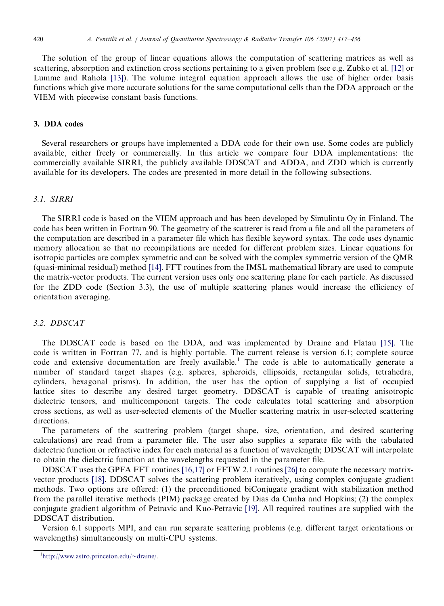The solution of the group of linear equations allows the computation of scattering matrices as well as scattering, absorption and extinction cross sections pertaining to a given problem (see e.g. Zubko et al. [\[12\]](#page-18-0) or Lumme and Rahola [\[13\]](#page-18-0)). The volume integral equation approach allows the use of higher order basis functions which give more accurate solutions for the same computational cells than the DDA approach or the VIEM with piecewise constant basis functions.

# 3. DDA codes

Several researchers or groups have implemented a DDA code for their own use. Some codes are publicly available, either freely or commercially. In this article we compare four DDA implementations: the commercially available SIRRI, the publicly available DDSCAT and ADDA, and ZDD which is currently available for its developers. The codes are presented in more detail in the following subsections.

## 3.1. SIRRI

The SIRRI code is based on the VIEM approach and has been developed by Simulintu Oy in Finland. The code has been written in Fortran 90. The geometry of the scatterer is read from a file and all the parameters of the computation are described in a parameter file which has flexible keyword syntax. The code uses dynamic memory allocation so that no recompilations are needed for different problem sizes. Linear equations for isotropic particles are complex symmetric and can be solved with the complex symmetric version of the QMR (quasi-minimal residual) method [\[14\].](#page-18-0) FFT routines from the IMSL mathematical library are used to compute the matrix-vector products. The current version uses only one scattering plane for each particle. As discussed for the ZDD code (Section 3.3), the use of multiple scattering planes would increase the efficiency of orientation averaging.

## 3.2. DDSCAT

The DDSCAT code is based on the DDA, and was implemented by Draine and Flatau [\[15\].](#page-18-0) The code is written in Fortran 77, and is highly portable. The current release is version 6.1; complete source code and extensive documentation are freely available.<sup>1</sup> The code is able to automatically generate a number of standard target shapes (e.g. spheres, spheroids, ellipsoids, rectangular solids, tetrahedra, cylinders, hexagonal prisms). In addition, the user has the option of supplying a list of occupied lattice sites to describe any desired target geometry. DDSCAT is capable of treating anisotropic dielectric tensors, and multicomponent targets. The code calculates total scattering and absorption cross sections, as well as user-selected elements of the Mueller scattering matrix in user-selected scattering directions.

The parameters of the scattering problem (target shape, size, orientation, and desired scattering calculations) are read from a parameter file. The user also supplies a separate file with the tabulated dielectric function or refractive index for each material as a function of wavelength; DDSCAT will interpolate to obtain the dielectric function at the wavelengths requested in the parameter file.

DDSCAT uses the GPFA FFT routines [\[16,17\]](#page-18-0) or FFTW 2.1 routines [\[26\]](#page-18-0) to compute the necessary matrixvector products [\[18\]](#page-18-0). DDSCAT solves the scattering problem iteratively, using complex conjugate gradient methods. Two options are offered: (1) the preconditioned biConjugate gradient with stabilization method from the parallel iterative methods (PIM) package created by Dias da Cunha and Hopkins; (2) the complex conjugate gradient algorithm of Petravic and Kuo-Petravic [\[19\]](#page-18-0). All required routines are supplied with the DDSCAT distribution.

Version 6.1 supports MPI, and can run separate scattering problems (e.g. different target orientations or wavelengths) simultaneously on multi-CPU systems.

 ${}^{1}$ [http://www.astro.princeton.edu/](http://www.astro.princeton.edu/~draine/) $\sim$ [draine/.](http://www.astro.princeton.edu/~draine/)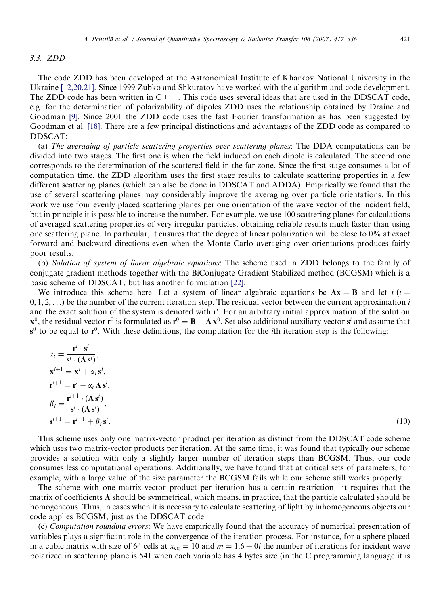#### 3.3. ZDD

The code ZDD has been developed at the Astronomical Institute of Kharkov National University in the Ukraine [\[12,20,21\]](#page-18-0). Since 1999 Zubko and Shkuratov have worked with the algorithm and code development. The ZDD code has been written in  $C++$ . This code uses several ideas that are used in the DDSCAT code, e.g. for the determination of polarizability of dipoles ZDD uses the relationship obtained by Draine and Goodman [\[9\]](#page-18-0). Since 2001 the ZDD code uses the fast Fourier transformation as has been suggested by Goodman et al. [\[18\].](#page-18-0) There are a few principal distinctions and advantages of the ZDD code as compared to DDSCAT:

(a) The averaging of particle scattering properties over scattering planes: The DDA computations can be divided into two stages. The first one is when the field induced on each dipole is calculated. The second one corresponds to the determination of the scattered field in the far zone. Since the first stage consumes a lot of computation time, the ZDD algorithm uses the first stage results to calculate scattering properties in a few different scattering planes (which can also be done in DDSCAT and ADDA). Empirically we found that the use of several scattering planes may considerably improve the averaging over particle orientations. In this work we use four evenly placed scattering planes per one orientation of the wave vector of the incident field, but in principle it is possible to increase the number. For example, we use 100 scattering planes for calculations of averaged scattering properties of very irregular particles, obtaining reliable results much faster than using one scattering plane. In particular, it ensures that the degree of linear polarization will be close to 0% at exact forward and backward directions even when the Monte Carlo averaging over orientations produces fairly poor results.

(b) Solution of system of linear algebraic equations: The scheme used in ZDD belongs to the family of conjugate gradient methods together with the BiConjugate Gradient Stabilized method (BCGSM) which is a basic scheme of DDSCAT, but has another formulation [\[22\].](#page-18-0)

We introduce this scheme here. Let a system of linear algebraic equations be  $\mathbf{Ax} = \mathbf{B}$  and let i  $(i =$  $0, 1, 2, \ldots$  be the number of the current iteration step. The residual vector between the current approximation i and the exact solution of the system is denoted with  $r<sup>i</sup>$ . For an arbitrary initial approximation of the solution  $x^0$ , the residual vector  $r^0$  is formulated as  $r^0 = \mathbf{B} - \mathbf{A} x^0$ . Set also additional auxiliary vector s' and assume that  $s^0$  to be equal to  $r^0$ . With these definitions, the computation for the *i*th iteration step is the following:

| $\mathbf{r}^i \cdot \mathbf{s}^i$<br>$\alpha_i = \frac{1}{s^i \cdot (As^i)},$                                      |      |
|--------------------------------------------------------------------------------------------------------------------|------|
| $\mathbf{x}^{i+1} = \mathbf{x}^i + \alpha_i \mathbf{s}^i,$                                                         |      |
| $\mathbf{r}^{i+1} = \mathbf{r}^i - \alpha_i \mathbf{A} \mathbf{s}^i$ ,                                             |      |
| $\beta_i = \frac{\mathbf{r}^{i+1} \cdot (\mathbf{A} \mathbf{s}^i)}{\mathbf{s}^i \cdot (\mathbf{A} \mathbf{s}^i)},$ |      |
| ${\bf s}^{i+1} = {\bf r}^{i+1} + \beta_i {\bf s}^i.$                                                               | (10) |

This scheme uses only one matrix-vector product per iteration as distinct from the DDSCAT code scheme which uses two matrix-vector products per iteration. At the same time, it was found that typically our scheme provides a solution with only a slightly larger number of iteration steps than BCGSM. Thus, our code consumes less computational operations. Additionally, we have found that at critical sets of parameters, for example, with a large value of the size parameter the BCGSM fails while our scheme still works properly.

The scheme with one matrix-vector product per iteration has a certain restriction—it requires that the matrix of coefficients A should be symmetrical, which means, in practice, that the particle calculated should be homogeneous. Thus, in cases when it is necessary to calculate scattering of light by inhomogeneous objects our code applies BCGSM, just as the DDSCAT code.

(c) Computation rounding errors: We have empirically found that the accuracy of numerical presentation of variables plays a significant role in the convergence of the iteration process. For instance, for a sphere placed in a cubic matrix with size of 64 cells at  $x_{eq} = 10$  and  $m = 1.6 + 0i$  the number of iterations for incident wave polarized in scattering plane is 541 when each variable has 4 bytes size (in the C programming language it is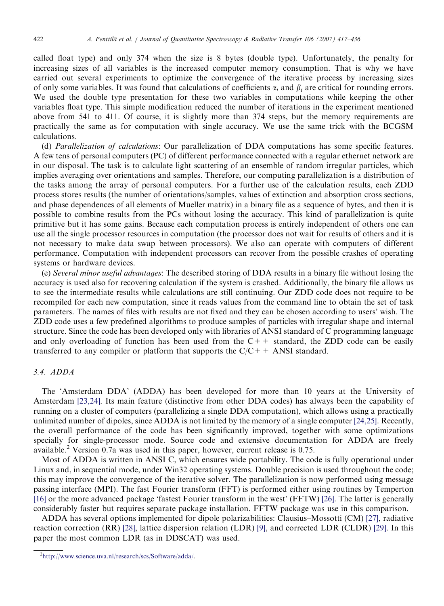called float type) and only 374 when the size is 8 bytes (double type). Unfortunately, the penalty for increasing sizes of all variables is the increased computer memory consumption. That is why we have carried out several experiments to optimize the convergence of the iterative process by increasing sizes of only some variables. It was found that calculations of coefficients  $\alpha_i$  and  $\beta_i$  are critical for rounding errors. We used the double type presentation for these two variables in computations while keeping the other variables float type. This simple modification reduced the number of iterations in the experiment mentioned above from 541 to 411. Of course, it is slightly more than 374 steps, but the memory requirements are practically the same as for computation with single accuracy. We use the same trick with the BCGSM calculations.

(d) Parallelization of calculations: Our parallelization of DDA computations has some specific features. A few tens of personal computers (PC) of different performance connected with a regular ethernet network are in our disposal. The task is to calculate light scattering of an ensemble of random irregular particles, which implies averaging over orientations and samples. Therefore, our computing parallelization is a distribution of the tasks among the array of personal computers. For a further use of the calculation results, each ZDD process stores results (the number of orientations/samples, values of extinction and absorption cross sections, and phase dependences of all elements of Mueller matrix) in a binary file as a sequence of bytes, and then it is possible to combine results from the PCs without losing the accuracy. This kind of parallelization is quite primitive but it has some gains. Because each computation process is entirely independent of others one can use all the single processor resources in computation (the processor does not wait for results of others and it is not necessary to make data swap between processors). We also can operate with computers of different performance. Computation with independent processors can recover from the possible crashes of operating systems or hardware devices.

(e) Several minor useful advantages: The described storing of DDA results in a binary file without losing the accuracy is used also for recovering calculation if the system is crashed. Additionally, the binary file allows us to see the intermediate results while calculations are still continuing. Our ZDD code does not require to be recompiled for each new computation, since it reads values from the command line to obtain the set of task parameters. The names of files with results are not fixed and they can be chosen according to users' wish. The ZDD code uses a few predefined algorithms to produce samples of particles with irregular shape and internal structure. Since the code has been developed only with libraries of ANSI standard of C programming language and only overloading of function has been used from the  $C++$  standard, the ZDD code can be easily transferred to any compiler or platform that supports the  $C/C + +$  ANSI standard.

# 3.4. ADDA

The 'Amsterdam DDA' (ADDA) has been developed for more than 10 years at the University of Amsterdam [\[23,24\].](#page-18-0) Its main feature (distinctive from other DDA codes) has always been the capability of running on a cluster of computers (parallelizing a single DDA computation), which allows using a practically unlimited number of dipoles, since ADDA is not limited by the memory of a single computer [\[24,25\]](#page-18-0). Recently, the overall performance of the code has been significantly improved, together with some optimizations specially for single-processor mode. Source code and extensive documentation for ADDA are freely available.<sup>2</sup> Version 0.7a was used in this paper, however, current release is 0.75.

Most of ADDA is written in ANSI C, which ensures wide portability. The code is fully operational under Linux and, in sequential mode, under Win32 operating systems. Double precision is used throughout the code; this may improve the convergence of the iterative solver. The parallelization is now performed using message passing interface (MPI). The fast Fourier transform (FFT) is performed either using routines by Temperton [\[16\]](#page-18-0) or the more advanced package 'fastest Fourier transform in the west' (FFTW) [\[26\].](#page-18-0) The latter is generally considerably faster but requires separate package installation. FFTW package was use in this comparison.

ADDA has several options implemented for dipole polarizabilities: Clausius–Mossotti (CM) [\[27\]](#page-18-0), radiative reaction correction (RR) [\[28\],](#page-19-0) lattice dispersion relation (LDR) [\[9\],](#page-18-0) and corrected LDR (CLDR) [\[29\].](#page-19-0) In this paper the most common LDR (as in DDSCAT) was used.

<sup>2</sup> <http://www.science.uva.nl/research/scs/Software/adda/>.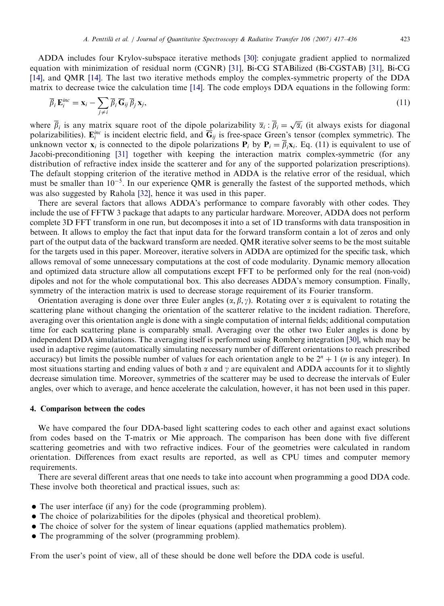ADDA includes four Krylov-subspace iterative methods [\[30\]:](#page-19-0) conjugate gradient applied to normalized equation with minimization of residual norm (CGNR) [\[31\]](#page-19-0), Bi-CG STABilized (Bi-CGSTAB) [\[31\]](#page-19-0), Bi-CG [\[14\]](#page-18-0), and QMR [\[14\].](#page-18-0) The last two iterative methods employ the complex-symmetric property of the DDA matrix to decrease twice the calculation time [\[14\]](#page-18-0). The code employs DDA equations in the following form:

$$
\overline{\beta}_i \mathbf{E}_i^{inc} = \mathbf{x}_i - \sum_{j \neq i} \overline{\beta}_i \overline{\mathbf{G}}_{ij} \overline{\beta}_j \mathbf{x}_j,
$$
\n(11)

where  $\overline{\beta}_i$  is any matrix square root of the dipole polarizability  $\overline{\alpha}_i : \overline{\beta}_i = \sqrt{\overline{\alpha}_i}$  (it always exists for diagonal polarizabilities).  $E_i^{inc}$  is incident electric field, and  $\overline{G}_{ij}$  is free-space Green's tensor (complex symmetric). The unknown vector  $x_i$  is connected to the dipole polarizations  $P_i$  by  $P_i = \overline{\beta}_i x_i$ . Eq. (11) is equivalent to use of Jacobi-preconditioning [\[31\]](#page-19-0) together with keeping the interaction matrix complex-symmetric (for any distribution of refractive index inside the scatterer and for any of the supported polarization prescriptions). The default stopping criterion of the iterative method in ADDA is the relative error of the residual, which must be smaller than  $10^{-5}$ . In our experience QMR is generally the fastest of the supported methods, which was also suggested by Rahola [\[32\],](#page-19-0) hence it was used in this paper.

There are several factors that allows ADDA's performance to compare favorably with other codes. They include the use of FFTW 3 package that adapts to any particular hardware. Moreover, ADDA does not perform complete 3D FFT transform in one run, but decomposes it into a set of 1D transforms with data transposition in between. It allows to employ the fact that input data for the forward transform contain a lot of zeros and only part of the output data of the backward transform are needed. QMR iterative solver seems to be the most suitable for the targets used in this paper. Moreover, iterative solvers in ADDA are optimized for the specific task, which allows removal of some unnecessary computations at the cost of code modularity. Dynamic memory allocation and optimized data structure allow all computations except FFT to be performed only for the real (non-void) dipoles and not for the whole computational box. This also decreases ADDA's memory consumption. Finally, symmetry of the interaction matrix is used to decrease storage requirement of its Fourier transform.

Orientation averaging is done over three Euler angles  $(\alpha, \beta, \gamma)$ . Rotating over  $\alpha$  is equivalent to rotating the scattering plane without changing the orientation of the scatterer relative to the incident radiation. Therefore, averaging over this orientation angle is done with a single computation of internal fields; additional computation time for each scattering plane is comparably small. Averaging over the other two Euler angles is done by independent DDA simulations. The averaging itself is performed using Romberg integration [\[30\]](#page-19-0), which may be used in adaptive regime (automatically simulating necessary number of different orientations to reach prescribed accuracy) but limits the possible number of values for each orientation angle to be  $2^n + 1$  (*n* is any integer). In most situations starting and ending values of both  $\alpha$  and  $\gamma$  are equivalent and ADDA accounts for it to slightly decrease simulation time. Moreover, symmetries of the scatterer may be used to decrease the intervals of Euler angles, over which to average, and hence accelerate the calculation, however, it has not been used in this paper.

#### 4. Comparison between the codes

We have compared the four DDA-based light scattering codes to each other and against exact solutions from codes based on the T-matrix or Mie approach. The comparison has been done with five different scattering geometries and with two refractive indices. Four of the geometries were calculated in random orientation. Differences from exact results are reported, as well as CPU times and computer memory requirements.

There are several different areas that one needs to take into account when programming a good DDA code. These involve both theoretical and practical issues, such as:

- The user interface (if any) for the code (programming problem).
- The choice of polarizabilities for the dipoles (physical and theoretical problem).
- The choice of solver for the system of linear equations (applied mathematics problem).
- The programming of the solver (programming problem).

From the user's point of view, all of these should be done well before the DDA code is useful.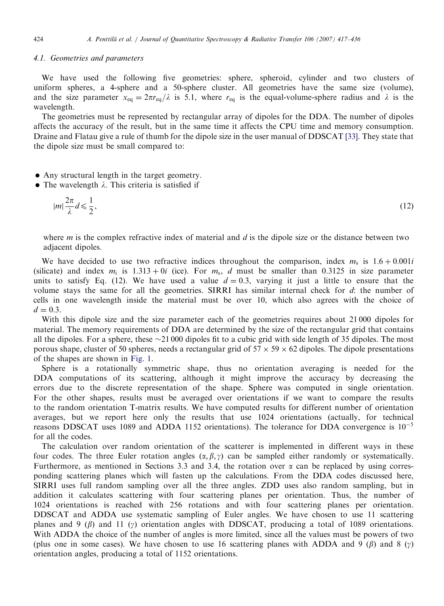#### 4.1. Geometries and parameters

We have used the following five geometries: sphere, spheroid, cylinder and two clusters of uniform spheres, a 4-sphere and a 50-sphere cluster. All geometries have the same size (volume), and the size parameter  $x_{eq} = 2\pi r_{eq}/\lambda$  is 5.1, where  $r_{eq}$  is the equal-volume-sphere radius and  $\lambda$  is the wavelength.

The geometries must be represented by rectangular array of dipoles for the DDA. The number of dipoles affects the accuracy of the result, but in the same time it affects the CPU time and memory consumption. Draine and Flatau give a rule of thumb for the dipole size in the user manual of DDSCAT [\[33\]](#page-19-0). They state that the dipole size must be small compared to:

- Any structural length in the target geometry.
- The wavelength  $\lambda$ . This criteria is satisfied if

$$
|m|\frac{2\pi}{\lambda}d \leqslant \frac{1}{2},\tag{12}
$$

where  $m$  is the complex refractive index of material and  $d$  is the dipole size or the distance between two adjacent dipoles.

We have decided to use two refractive indices throughout the comparison, index  $m<sub>s</sub>$  is  $1.6 + 0.001i$ (silicate) and index  $m_i$  is  $1.313 + 0i$  (ice). For  $m_s$ , d must be smaller than 0.3125 in size parameter units to satisfy Eq. (12). We have used a value  $d = 0.3$ , varying it just a little to ensure that the volume stays the same for all the geometries. SIRRI has similar internal check for  $d$ : the number of cells in one wavelength inside the material must be over 10, which also agrees with the choice of  $d = 0.3$ .

With this dipole size and the size parameter each of the geometries requires about 21 000 dipoles for material. The memory requirements of DDA are determined by the size of the rectangular grid that contains all the dipoles. For a sphere, these  $\sim$ 21 000 dipoles fit to a cubic grid with side length of 35 dipoles. The most porous shape, cluster of 50 spheres, needs a rectangular grid of  $57 \times 59 \times 62$  dipoles. The dipole presentations of the shapes are shown in [Fig. 1.](#page-8-0)

Sphere is a rotationally symmetric shape, thus no orientation averaging is needed for the DDA computations of its scattering, although it might improve the accuracy by decreasing the errors due to the discrete representation of the shape. Sphere was computed in single orientation. For the other shapes, results must be averaged over orientations if we want to compare the results to the random orientation T-matrix results. We have computed results for different number of orientation averages, but we report here only the results that use 1024 orientations (actually, for technical reasons DDSCAT uses 1089 and ADDA 1152 orientations). The tolerance for DDA convergence is  $10^{-5}$ for all the codes.

The calculation over random orientation of the scatterer is implemented in different ways in these four codes. The three Euler rotation angles  $(\alpha, \beta, \gamma)$  can be sampled either randomly or systematically. Furthermore, as mentioned in Sections 3.3 and 3.4, the rotation over  $\alpha$  can be replaced by using corresponding scattering planes which will fasten up the calculations. From the DDA codes discussed here, SIRRI uses full random sampling over all the three angles. ZDD uses also random sampling, but in addition it calculates scattering with four scattering planes per orientation. Thus, the number of 1024 orientations is reached with 256 rotations and with four scattering planes per orientation. DDSCAT and ADDA use systematic sampling of Euler angles. We have chosen to use 11 scattering planes and 9 ( $\beta$ ) and 11 ( $\gamma$ ) orientation angles with DDSCAT, producing a total of 1089 orientations. With ADDA the choice of the number of angles is more limited, since all the values must be powers of two (plus one in some cases). We have chosen to use 16 scattering planes with ADDA and 9 ( $\beta$ ) and 8 ( $\gamma$ ) orientation angles, producing a total of 1152 orientations.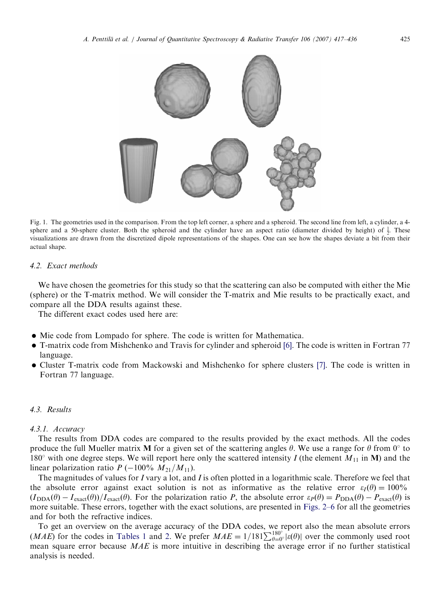<span id="page-8-0"></span>

Fig. 1. The geometries used in the comparison. From the top left corner, a sphere and a spheroid. The second line from left, a cylinder, a 4 sphere and a 50-sphere cluster. Both the spheroid and the cylinder have an aspect ratio (diameter divided by height) of  $\frac{1}{2}$ . These visualizations are drawn from the discretized dipole representations of the shapes. One can see how the shapes deviate a bit from their actual shape.

#### 4.2. Exact methods

We have chosen the geometries for this study so that the scattering can also be computed with either the Mie (sphere) or the T-matrix method. We will consider the T-matrix and Mie results to be practically exact, and compare all the DDA results against these.

The different exact codes used here are:

- Mie code from Lompado for sphere. The code is written for Mathematica.
- T-matrix code from Mishchenko and Travis for cylinder and spheroid [\[6\]](#page-18-0). The code is written in Fortran 77 language.
- Cluster T-matrix code from Mackowski and Mishchenko for sphere clusters [\[7\]](#page-18-0). The code is written in Fortran 77 language.

#### 4.3. Results

#### 4.3.1. Accuracy

The results from DDA codes are compared to the results provided by the exact methods. All the codes produce the full Mueller matrix M for a given set of the scattering angles  $\theta$ . We use a range for  $\theta$  from 0° to 180° with one degree steps. We will report here only the scattered intensity I (the element  $M_{11}$  in M) and the linear polarization ratio  $P(-100\% \ M_{21}/M_{11})$ .

The magnitudes of values for I vary a lot, and I is often plotted in a logarithmic scale. Therefore we feel that the absolute error against exact solution is not as informative as the relative error  $\varepsilon_I(\theta) = 100\%$  $(I_{\text{DDA}}(\theta) - I_{\text{exact}}(\theta))/I_{\text{exact}}(\theta)$ . For the polarization ratio P, the absolute error  $\varepsilon_P(\theta) = P_{\text{DDA}}(\theta) - P_{\text{exact}}(\theta)$  is more suitable. These errors, together with the exact solutions, are presented in [Figs. 2–6](#page-9-0) for all the geometries and for both the refractive indices.

To get an overview on the average accuracy of the DDA codes, we report also the mean absolute errors (*MAE*) for the codes in [Tables 1](#page-14-0) and [2.](#page-14-0) We prefer  $MAE = 1/181 \sum_{\theta=0^{\circ}}^{180^{\circ}} |\epsilon(\theta)|$  over the commonly used root mean square error because MAE is more intuitive in describing the average error if no further statistical analysis is needed.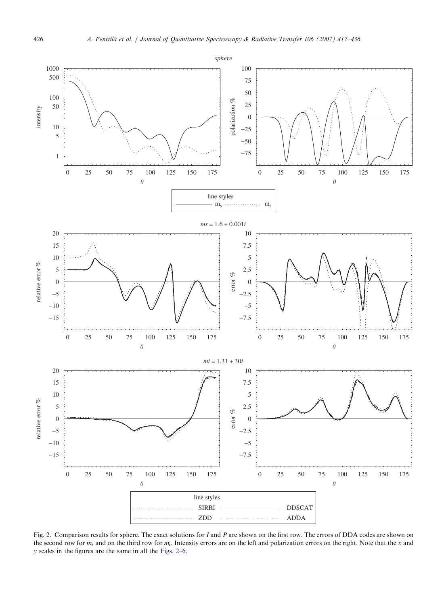<span id="page-9-0"></span>

Fig. 2. Comparison results for sphere. The exact solutions for I and P are shown on the first row. The errors of DDA codes are shown on the second row for  $m_s$  and on the third row for  $m_i$ . Intensity errors are on the left and polarization errors on the right. Note that the x and y scales in the figures are the same in all the Figs. 2–[6.](#page-13-0)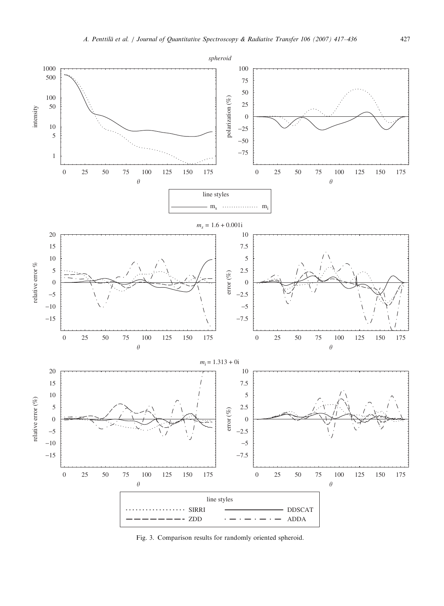

Fig. 3. Comparison results for randomly oriented spheroid.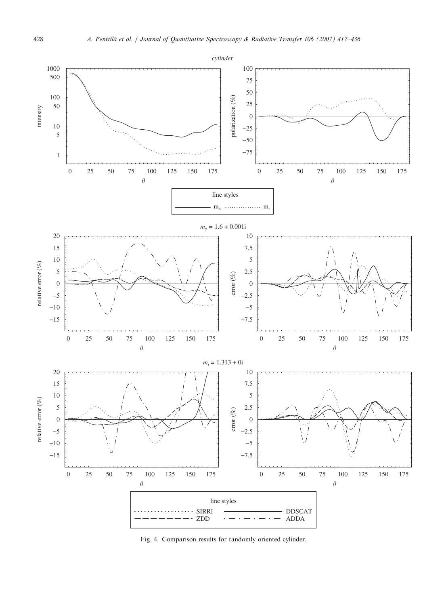

Fig. 4. Comparison results for randomly oriented cylinder.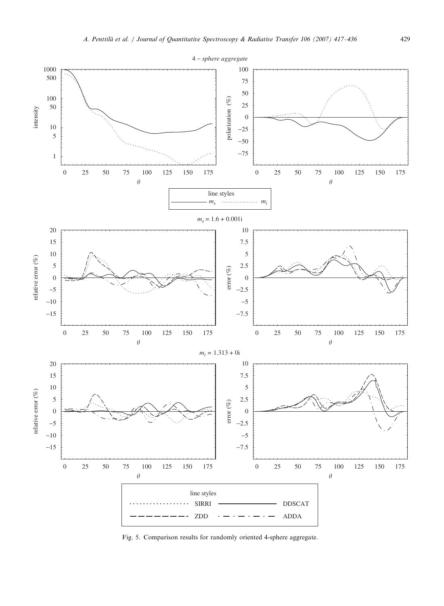

Fig. 5. Comparison results for randomly oriented 4-sphere aggregate.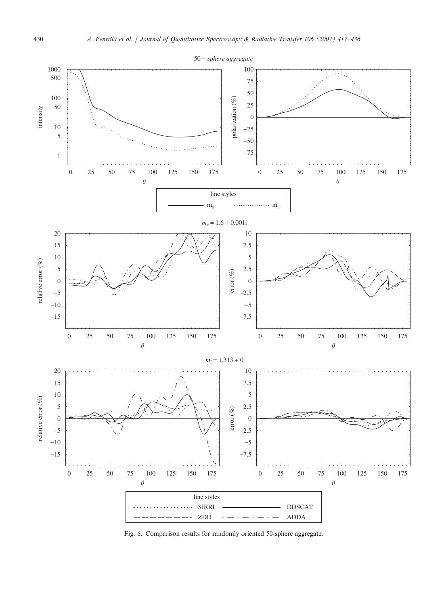<span id="page-13-0"></span>

Fig. 6. Comparison results for randomly oriented 50-sphere aggregate.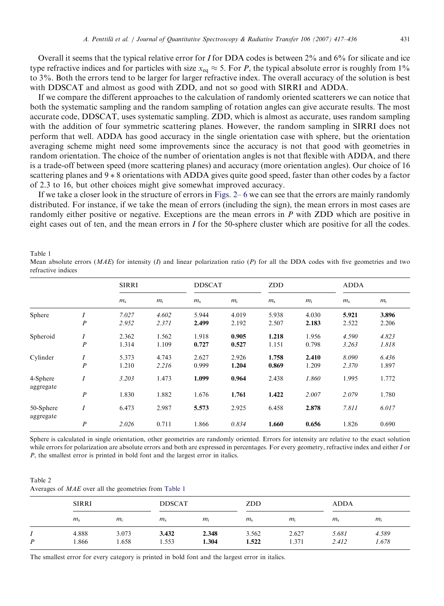<span id="page-14-0"></span>Overall it seems that the typical relative error for I for DDA codes is between  $2\%$  and  $6\%$  for silicate and ice type refractive indices and for particles with size  $x_{eq} \approx 5$ . For P, the typical absolute error is roughly from 1% to 3%. Both the errors tend to be larger for larger refractive index. The overall accuracy of the solution is best with DDSCAT and almost as good with ZDD, and not so good with SIRRI and ADDA.

If we compare the different approaches to the calculation of randomly oriented scatterers we can notice that both the systematic sampling and the random sampling of rotation angles can give accurate results. The most accurate code, DDSCAT, uses systematic sampling. ZDD, which is almost as accurate, uses random sampling with the addition of four symmetric scattering planes. However, the random sampling in SIRRI does not perform that well. ADDA has good accuracy in the single orientation case with sphere, but the orientation averaging scheme might need some improvements since the accuracy is not that good with geometries in random orientation. The choice of the number of orientation angles is not that flexible with ADDA, and there is a trade-off between speed (more scattering planes) and accuracy (more orientation angles). Our choice of 16 scattering planes and  $9 * 8$  orientations with ADDA gives quite good speed, faster than other codes by a factor of 2.3 to 16, but other choices might give somewhat improved accuracy.

If we take a closer look in the structure of errors in [Figs. 2](#page-9-0)– [6](#page-13-0) we can see that the errors are mainly randomly distributed. For instance, if we take the mean of errors (including the sign), the mean errors in most cases are randomly either positive or negative. Exceptions are the mean errors in P with ZDD which are positive in eight cases out of ten, and the mean errors in  $I$  for the 50-sphere cluster which are positive for all the codes.

Table 1

Mean absolute errors ( $MAE$ ) for intensity (I) and linear polarization ratio (P) for all the DDA codes with five geometries and two refractive indices

|                        |                       | <b>SIRRI</b>   |                | <b>DDSCAT</b>  |                | ZDD            |                | <b>ADDA</b>    |                |
|------------------------|-----------------------|----------------|----------------|----------------|----------------|----------------|----------------|----------------|----------------|
|                        |                       | $m_{\rm s}$    | $m_i$          | $m_{\rm s}$    | $m_i$          | $m_{\rm s}$    | $m_i$          | $m_{\rm s}$    | $m_{\rm i}$    |
| Sphere                 | I<br>$\boldsymbol{P}$ | 7.027<br>2.952 | 4.602<br>2.371 | 5.944<br>2.499 | 4.019<br>2.192 | 5.938<br>2.507 | 4.030<br>2.183 | 5.921<br>2.522 | 3.896<br>2.206 |
| Spheroid               | I<br>$\boldsymbol{P}$ | 2.362<br>1.314 | 1.562<br>1.109 | 1.918<br>0.727 | 0.905<br>0.527 | 1.218<br>1.151 | 1.956<br>0.798 | 4.590<br>3.263 | 4.823<br>1.818 |
| Cylinder               | I<br>$\boldsymbol{P}$ | 5.373<br>1.210 | 4.743<br>2.216 | 2.627<br>0.999 | 2.926<br>1.204 | 1.758<br>0.869 | 2.410<br>1.209 | 8.090<br>2.370 | 6.436<br>1.897 |
| 4-Sphere<br>aggregate  | $\boldsymbol{I}$      | 3.203          | 1.473          | 1.099          | 0.964          | 2.438          | 1.860          | 1.995          | 1.772          |
|                        | $\boldsymbol{P}$      | 1.830          | 1.882          | 1.676          | 1.761          | 1.422          | 2.007          | 2.079          | 1.780          |
| 50-Sphere<br>aggregate | I                     | 6.473          | 2.987          | 5.573          | 2.925          | 6.458          | 2.878          | 7.811          | 6.017          |
|                        | $\boldsymbol{P}$      | 2.026          | 0.711          | 1.866          | 0.834          | 1.660          | 0.656          | 1.826          | 0.690          |

Sphere is calculated in single orientation, other geometries are randomly oriented. Errors for intensity are relative to the exact solution while errors for polarization are absolute errors and both are expressed in percentages. For every geometry, refractive index and either I or P, the smallest error is printed in bold font and the largest error in italics.

Table 2 Averages of MAE over all the geometries from Table 1

|   | <b>SIRRI</b>  |                |                | <b>DDSCAT</b>  |                | ZDD            |                | <b>ADDA</b>    |  |
|---|---------------|----------------|----------------|----------------|----------------|----------------|----------------|----------------|--|
|   | $m_{\rm s}$   | $m_i$          | $m_{\rm s}$    | $m_i$          | $m_{\rm s}$    | $m_i$          | $m_{\rm s}$    | $m_i$          |  |
| P | 4.888<br>.866 | 3.073<br>1.658 | 3.432<br>1.553 | 2.348<br>1.304 | 3.562<br>1.522 | 2.627<br>1.371 | 5.681<br>2.412 | 4.589<br>1.678 |  |

The smallest error for every category is printed in bold font and the largest error in italics.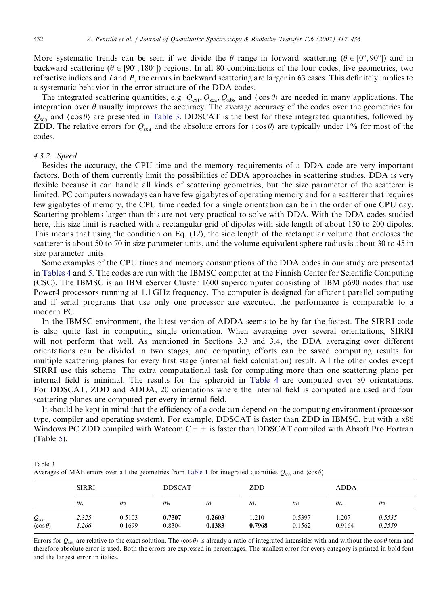More systematic trends can be seen if we divide the  $\theta$  range in forward scattering  $(\theta \in [0, 90^{\circ}])$  and in backward scattering ( $\theta \in [90^{\circ}, 180^{\circ}]$ ) regions. In all 80 combinations of the four codes, five geometries, two refractive indices and I and P, the errors in backward scattering are larger in 63 cases. This definitely implies to a systematic behavior in the error structure of the DDA codes.

The integrated scattering quantities, e.g.  $Q_{ext}$ ,  $Q_{sca}$ ,  $Q_{abs}$  and  $\langle \cos \theta \rangle$  are needed in many applications. The integration over  $\theta$  usually improves the accuracy. The average accuracy of the codes over the geometries for  $Q_{sca}$  and  $\langle \cos \theta \rangle$  are presented in Table 3. DDSCAT is the best for these integrated quantities, followed by ZDD. The relative errors for  $Q_{sca}$  and the absolute errors for  $\langle \cos \theta \rangle$  are typically under 1% for most of the codes.

## 4.3.2. Speed

Besides the accuracy, the CPU time and the memory requirements of a DDA code are very important factors. Both of them currently limit the possibilities of DDA approaches in scattering studies. DDA is very flexible because it can handle all kinds of scattering geometries, but the size parameter of the scatterer is limited. PC computers nowadays can have few gigabytes of operating memory and for a scatterer that requires few gigabytes of memory, the CPU time needed for a single orientation can be in the order of one CPU day. Scattering problems larger than this are not very practical to solve with DDA. With the DDA codes studied here, this size limit is reached with a rectangular grid of dipoles with side length of about 150 to 200 dipoles. This means that using the condition on Eq. (12), the side length of the rectangular volume that encloses the scatterer is about 50 to 70 in size parameter units, and the volume-equivalent sphere radius is about 30 to 45 in size parameter units.

Some examples of the CPU times and memory consumptions of the DDA codes in our study are presented in [Tables 4](#page-16-0) and [5.](#page-16-0) The codes are run with the IBMSC computer at the Finnish Center for Scientific Computing (CSC). The IBMSC is an IBM eServer Cluster 1600 supercomputer consisting of IBM p690 nodes that use Power4 processors running at 1.1 GHz frequency. The computer is designed for efficient parallel computing and if serial programs that use only one processor are executed, the performance is comparable to a modern PC.

In the IBMSC environment, the latest version of ADDA seems to be by far the fastest. The SIRRI code is also quite fast in computing single orientation. When averaging over several orientations, SIRRI will not perform that well. As mentioned in Sections 3.3 and 3.4, the DDA averaging over different orientations can be divided in two stages, and computing efforts can be saved computing results for multiple scattering planes for every first stage (internal field calculation) result. All the other codes except SIRRI use this scheme. The extra computational task for computing more than one scattering plane per internal field is minimal. The results for the spheroid in [Table 4](#page-16-0) are computed over 80 orientations. For DDSCAT, ZDD and ADDA, 20 orientations where the internal field is computed are used and four scattering planes are computed per every internal field.

It should be kept in mind that the efficiency of a code can depend on the computing environment (processor type, compiler and operating system). For example, DDSCAT is faster than ZDD in IBMSC, but with a x86 Windows PC ZDD compiled with Watcom  $C++$  is faster than DDSCAT compiled with Absoft Pro Fortran (Table [5\)](#page-16-0).

|                                                | <i>TWORD</i> of <i>MITLE</i> CHOIS OVER an the geometries from Table 1 for integrated quantities $V_{\text{seq}}$ and $ U_{\text{OS}}(t) $<br><b>SIRRI</b> |                  | <b>DDSCAT</b>    |                  |                 | ZDD              |                 | ADDA             |  |
|------------------------------------------------|------------------------------------------------------------------------------------------------------------------------------------------------------------|------------------|------------------|------------------|-----------------|------------------|-----------------|------------------|--|
|                                                | $m_{\rm s}$                                                                                                                                                | $m_i$            | $m_{\rm s}$      | $m_i$            | $m_{\rm s}$     | $m_i$            | $m_{\rm s}$     | $m_i$            |  |
| $Q_{\rm sca}$<br>$\langle \cos \theta \rangle$ | 2.325<br>1.266                                                                                                                                             | 0.5103<br>0.1699 | 0.7307<br>0.8304 | 0.2603<br>0.1383 | 1.210<br>0.7968 | 0.5397<br>0.1562 | 1.207<br>0.9164 | 0.5535<br>0.2559 |  |

Table 3 Averages of MAE errors over all the geometries from [Table 1](#page-14-0) for integrated quantities  $Q_{\text{max}}$  and  $\langle \cos \theta \rangle$ 

Errors for  $Q_{sea}$  are relative to the exact solution. The  $\langle \cos \theta \rangle$  is already a ratio of integrated intensities with and without the  $\cos \theta$  term and therefore absolute error is used. Both the errors are expressed in percentages. The smallest error for every category is printed in bold font and the largest error in italics.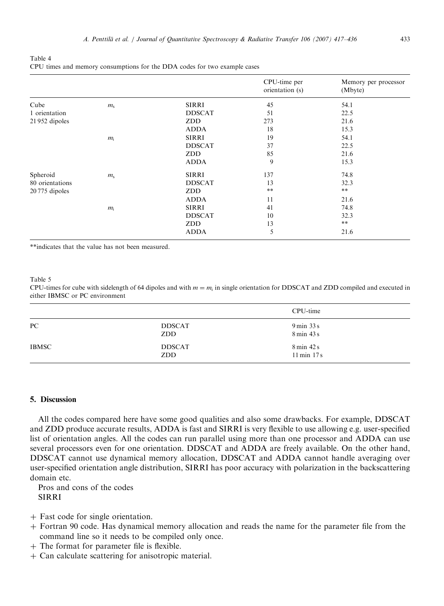<span id="page-16-0"></span>Table 4 CPU times and memory consumptions for the DDA codes for two example cases

|                 |             |               | CPU-time per<br>orientation (s) | Memory per processor<br>(Mbyte) |
|-----------------|-------------|---------------|---------------------------------|---------------------------------|
| Cube            | $m_{\rm s}$ | <b>SIRRI</b>  | 45                              | 54.1                            |
| 1 orientation   |             | <b>DDSCAT</b> | 51                              | 22.5                            |
| 21952 dipoles   |             | ZDD           | 273                             | 21.6                            |
|                 |             | <b>ADDA</b>   | 18                              | 15.3                            |
|                 | $m_i$       | <b>SIRRI</b>  | 19                              | 54.1                            |
|                 |             | <b>DDSCAT</b> | 37                              | 22.5                            |
|                 |             | ZDD           | 85                              | 21.6                            |
|                 |             | <b>ADDA</b>   | 9                               | 15.3                            |
| Spheroid        | $m_{\rm s}$ | <b>SIRRI</b>  | 137                             | 74.8                            |
| 80 orientations |             | <b>DDSCAT</b> | 13                              | 32.3                            |
| 20 775 dipoles  |             | ZDD           | $\ast\ast$                      | $\ast\ast$                      |
|                 |             | <b>ADDA</b>   | 11                              | 21.6                            |
|                 | $m_i$       | <b>SIRRI</b>  | 41                              | 74.8                            |
|                 |             | <b>DDSCAT</b> | 10                              | 32.3                            |
|                 |             | ZDD           | 13                              | $\ast\ast$                      |
|                 |             | <b>ADDA</b>   | 5                               | 21.6                            |

\*\*indicates that the value has not been measured.

#### Table 5

CPU-times for cube with sidelength of 64 dipoles and with  $m = m<sub>i</sub>$  in single orientation for DDSCAT and ZDD compiled and executed in either IBMSC or PC environment

|              |                             | CPU-time                                    |
|--------------|-----------------------------|---------------------------------------------|
| PC           | <b>DDSCAT</b><br><b>ZDD</b> | $9 \text{ min } 33 \text{ s}$<br>8 min 43 s |
| <b>IBMSC</b> | <b>DDSCAT</b><br><b>ZDD</b> | 8 min 42 s<br>$11 \text{ min} 17 \text{s}$  |

#### 5. Discussion

All the codes compared here have some good qualities and also some drawbacks. For example, DDSCAT and ZDD produce accurate results, ADDA is fast and SIRRI is very flexible to use allowing e.g. user-specified list of orientation angles. All the codes can run parallel using more than one processor and ADDA can use several processors even for one orientation. DDSCAT and ADDA are freely available. On the other hand, DDSCAT cannot use dynamical memory allocation, DDSCAT and ADDA cannot handle averaging over user-specified orientation angle distribution, SIRRI has poor accuracy with polarization in the backscattering domain etc.

Pros and cons of the codes SIRRI

- $+$  Fast code for single orientation.
- þ Fortran 90 code. Has dynamical memory allocation and reads the name for the parameter file from the command line so it needs to be compiled only once.
- $+$  The format for parameter file is flexible.
- $+$  Can calculate scattering for anisotropic material.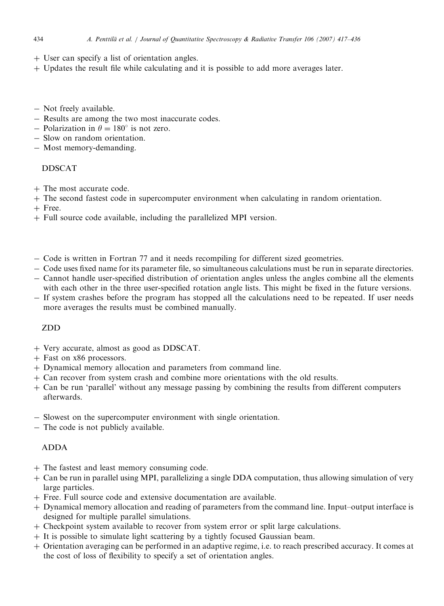- $+$  User can specify a list of orientation angles.
- þ Updates the result file while calculating and it is possible to add more averages later.
- Not freely available.
- Results are among the two most inaccurate codes.
- Polarization in  $\theta = 180^\circ$  is not zero.
- $-$  Slow on random orientation.
- Most memory-demanding.

# DDSCAT

- þ The most accurate code.
- þ The second fastest code in supercomputer environment when calculating in random orientation.
- $+$  Free.
- þ Full source code available, including the parallelized MPI version.
- Code is written in Fortran 77 and it needs recompiling for different sized geometries.
- Code uses fixed name for its parameter file, so simultaneous calculations must be run in separate directories. Cannot handle user-specified distribution of orientation angles unless the angles combine all the elements
- with each other in the three user-specified rotation angle lists. This might be fixed in the future versions.
- If system crashes before the program has stopped all the calculations need to be repeated. If user needs more averages the results must be combined manually.

# ZDD

- þ Very accurate, almost as good as DDSCAT.
- + Fast on x86 processors.
- + Dynamical memory allocation and parameters from command line.
- þ Can recover from system crash and combine more orientations with the old results.
- þ Can be run 'parallel' without any message passing by combining the results from different computers afterwards.
- $-$  Slowest on the supercomputer environment with single orientation.
- The code is not publicly available.

# ADDA

- þ The fastest and least memory consuming code.
- þ Can be run in parallel using MPI, parallelizing a single DDA computation, thus allowing simulation of very large particles.
- þ Free. Full source code and extensive documentation are available.
- þ Dynamical memory allocation and reading of parameters from the command line. Input–output interface is designed for multiple parallel simulations.
- þ Checkpoint system available to recover from system error or split large calculations.
- þ It is possible to simulate light scattering by a tightly focused Gaussian beam.
- þ Orientation averaging can be performed in an adaptive regime, i.e. to reach prescribed accuracy. It comes at the cost of loss of flexibility to specify a set of orientation angles.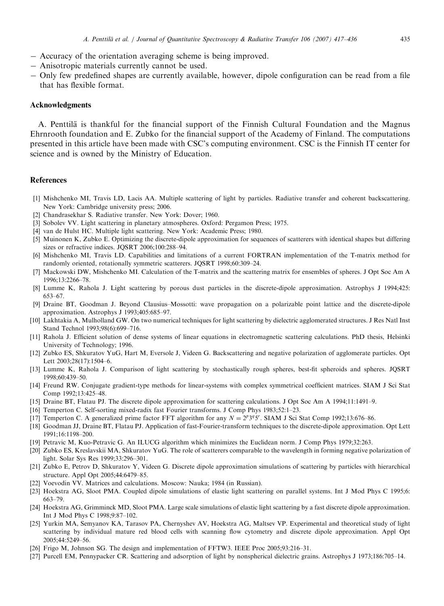- <span id="page-18-0"></span>Accuracy of the orientation averaging scheme is being improved.
- Anisotropic materials currently cannot be used.
- Only few predefined shapes are currently available, however, dipole configuration can be read from a file that has flexible format.

## Acknowledgments

A. Penttilä is thankful for the financial support of the Finnish Cultural Foundation and the Magnus Ehrnrooth foundation and E. Zubko for the financial support of the Academy of Finland. The computations presented in this article have been made with CSC's computing environment. CSC is the Finnish IT center for science and is owned by the Ministry of Education.

## References

- [1] Mishchenko MI, Travis LD, Lacis AA. Multiple scattering of light by particles. Radiative transfer and coherent backscattering. New York: Cambridge university press; 2006.
- [2] Chandrasekhar S. Radiative transfer. New York: Dover; 1960.
- [3] Sobolev VV. Light scattering in planetary atmospheres. Oxford: Pergamon Press; 1975.
- [4] van de Hulst HC. Multiple light scattering. New York: Academic Press; 1980.
- [5] Muinonen K, Zubko E. Optimizing the discrete-dipole approximation for sequences of scatterers with identical shapes but differing sizes or refractive indices. JQSRT 2006;100:288–94.
- [6] Mishchenko MI, Travis LD. Capabilities and limitations of a current FORTRAN implementation of the T-matrix method for randomly oriented, rotationally symmetric scatterers. JQSRT 1998;60:309–24.
- [7] Mackowski DW, Mishchenko MI. Calculation of the T-matrix and the scattering matrix for ensembles of spheres. J Opt Soc Am A 1996;13:2266–78.
- [8] Lumme K, Rahola J. Light scattering by porous dust particles in the discrete-dipole approximation. Astrophys J 1994;425: 653–67.
- [9] Draine BT, Goodman J. Beyond Clausius–Mossotti: wave propagation on a polarizable point lattice and the discrete-dipole approximation. Astrophys J 1993;405:685–97.
- [10] Lakhtakia A, Mulholland GW. On two numerical techniques for light scattering by dielectric agglomerated structures. J Res Natl Inst Stand Technol 1993;98(6):699–716.
- [11] Rahola J. Efficient solution of dense systems of linear equations in electromagnetic scattering calculations. PhD thesis, Helsinki University of Technology; 1996.
- [12] Zubko ES, Shkuratov YuG, Hart M, Eversole J, Videen G. Backscattering and negative polarization of agglomerate particles. Opt Lett 2003;28(17):1504–6.
- [13] Lumme K, Rahola J. Comparison of light scattering by stochastically rough spheres, best-fit spheroids and spheres. JQSRT 1998;60:439–50.
- [14] Freund RW. Conjugate gradient-type methods for linear-systems with complex symmetrical coefficient matrices. SIAM J Sci Stat Comp 1992;13:425–48.
- [15] Draine BT, Flatau PJ. The discrete dipole approximation for scattering calculations. J Opt Soc Am A 1994;11:1491–9.
- [16] Temperton C. Self-sorting mixed-radix fast Fourier transforms. J Comp Phys 1983;52:1–23.
- [17] Temperton C. A generalized prime factor FFT algorithm for any  $N = 2^p 3^q 5^r$ . SIAM J Sci Stat Comp 1992;13:676-86.
- [18] Goodman JJ, Draine BT, Flatau PJ. Application of fast-Fourier-transform techniques to the discrete-dipole approximation. Opt Lett 1991;16:1198–200.
- [19] Petravic M, Kuo-Petravic G. An ILUCG algorithm which minimizes the Euclidean norm. J Comp Phys 1979;32:263.
- [20] Zubko ES, Kreslavskii MA, Shkuratov YuG. The role of scatterers comparable to the wavelength in forming negative polarization of light. Solar Sys Res 1999;33:296–301.
- [21] Zubko E, Petrov D, Shkuratov Y, Videen G. Discrete dipole approximation simulations of scattering by particles with hierarchical structure. Appl Opt 2005;44:6479–85.
- [22] Voevodin VV. Matrices and calculations. Moscow: Nauka; 1984 (in Russian).
- [23] Hoekstra AG, Sloot PMA. Coupled dipole simulations of elastic light scattering on parallel systems. Int J Mod Phys C 1995;6: 663–79.
- [24] Hoekstra AG, Grimminck MD, Sloot PMA. Large scale simulations of elastic light scattering by a fast discrete dipole approximation. Int J Mod Phys C 1998;9:87–102.
- [25] Yurkin MA, Semyanov KA, Tarasov PA, Chernyshev AV, Hoekstra AG, Maltsev VP. Experimental and theoretical study of light scattering by individual mature red blood cells with scanning flow cytometry and discrete dipole approximation. Appl Opt 2005;44:5249–56.
- [26] Frigo M, Johnson SG. The design and implementation of FFTW3. IEEE Proc 2005;93:216–31.
- [27] Purcell EM, Pennypacker CR. Scattering and adsorption of light by nonspherical dielectric grains. Astrophys J 1973;186:705–14.